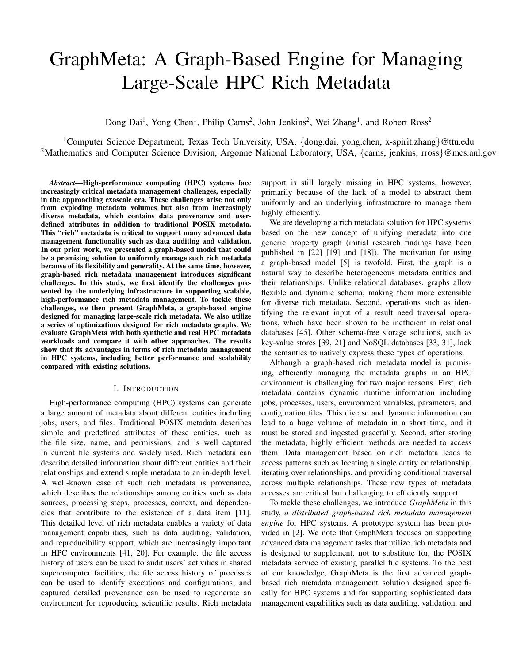# GraphMeta: A Graph-Based Engine for Managing Large-Scale HPC Rich Metadata

Dong Dai<sup>1</sup>, Yong Chen<sup>1</sup>, Philip Carns<sup>2</sup>, John Jenkins<sup>2</sup>, Wei Zhang<sup>1</sup>, and Robert Ross<sup>2</sup>

<sup>1</sup>Computer Science Department, Texas Tech University, USA, {dong.dai, yong.chen, x-spirit.zhang}@ttu.edu <sup>2</sup>Mathematics and Computer Science Division, Argonne National Laboratory, USA, {carns, jenkins, rross}@mcs.anl.gov

*Abstract*—High-performance computing (HPC) systems face increasingly critical metadata management challenges, especially in the approaching exascale era. These challenges arise not only from exploding metadata volumes but also from increasingly diverse metadata, which contains data provenance and userdefined attributes in addition to traditional POSIX metadata. This "rich" metadata is critical to support many advanced data management functionality such as data auditing and validation. In our prior work, we presented a graph-based model that could be a promising solution to uniformly manage such rich metadata because of its flexibility and generality. At the same time, however, graph-based rich metadata management introduces significant challenges. In this study, we first identify the challenges presented by the underlying infrastructure in supporting scalable, high-performance rich metadata management. To tackle these challenges, we then present GraphMeta, a graph-based engine designed for managing large-scale rich metadata. We also utilize a series of optimizations designed for rich metadata graphs. We evaluate GraphMeta with both synthetic and real HPC metadata workloads and compare it with other approaches. The results show that its advantages in terms of rich metadata management in HPC systems, including better performance and scalability compared with existing solutions.

#### I. INTRODUCTION

High-performance computing (HPC) systems can generate a large amount of metadata about different entities including jobs, users, and files. Traditional POSIX metadata describes simple and predefined attributes of these entities, such as the file size, name, and permissions, and is well captured in current file systems and widely used. Rich metadata can describe detailed information about different entities and their relationships and extend simple metadata to an in-depth level. A well-known case of such rich metadata is provenance, which describes the relationships among entities such as data sources, processing steps, processes, context, and dependencies that contribute to the existence of a data item [11]. This detailed level of rich metadata enables a variety of data management capabilities, such as data auditing, validation, and reproducibility support, which are increasingly important in HPC environments [41, 20]. For example, the file access history of users can be used to audit users' activities in shared supercomputer facilities; the file access history of processes can be used to identify executions and configurations; and captured detailed provenance can be used to regenerate an environment for reproducing scientific results. Rich metadata

support is still largely missing in HPC systems, however, primarily because of the lack of a model to abstract them uniformly and an underlying infrastructure to manage them highly efficiently.

We are developing a rich metadata solution for HPC systems based on the new concept of unifying metadata into one generic property graph (initial research findings have been published in [22] [19] and [18]). The motivation for using a graph-based model [5] is twofold. First, the graph is a natural way to describe heterogeneous metadata entities and their relationships. Unlike relational databases, graphs allow flexible and dynamic schema, making them more extensible for diverse rich metadata. Second, operations such as identifying the relevant input of a result need traversal operations, which have been shown to be inefficient in relational databases [45]. Other schema-free storage solutions, such as key-value stores [39, 21] and NoSQL databases [33, 31], lack the semantics to natively express these types of operations.

Although a graph-based rich metadata model is promising, efficiently managing the metadata graphs in an HPC environment is challenging for two major reasons. First, rich metadata contains dynamic runtime information including jobs, processes, users, environment variables, parameters, and configuration files. This diverse and dynamic information can lead to a huge volume of metadata in a short time, and it must be stored and ingested gracefully. Second, after storing the metadata, highly efficient methods are needed to access them. Data management based on rich metadata leads to access patterns such as locating a single entity or relationship, iterating over relationships, and providing conditional traversal across multiple relationships. These new types of metadata accesses are critical but challenging to efficiently support.

To tackle these challenges, we introduce *GraphMeta* in this study, *a distributed graph-based rich metadata management engine* for HPC systems. A prototype system has been provided in [2]. We note that GraphMeta focuses on supporting advanced data management tasks that utilize rich metadata and is designed to supplement, not to substitute for, the POSIX metadata service of existing parallel file systems. To the best of our knowledge, GraphMeta is the first advanced graphbased rich metadata management solution designed specifically for HPC systems and for supporting sophisticated data management capabilities such as data auditing, validation, and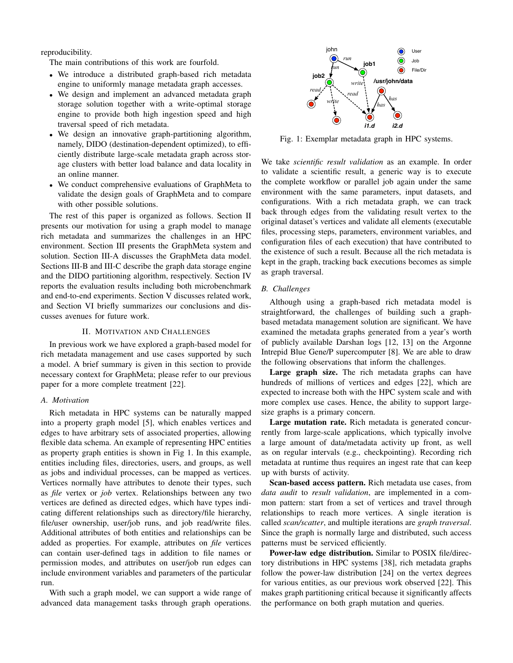reproducibility.

The main contributions of this work are fourfold.

- We introduce a distributed graph-based rich metadata engine to uniformly manage metadata graph accesses.
- We design and implement an advanced metadata graph storage solution together with a write-optimal storage engine to provide both high ingestion speed and high traversal speed of rich metadata.
- We design an innovative graph-partitioning algorithm, namely, DIDO (destination-dependent optimized), to efficiently distribute large-scale metadata graph across storage clusters with better load balance and data locality in an online manner.
- We conduct comprehensive evaluations of GraphMeta to validate the design goals of GraphMeta and to compare with other possible solutions.

The rest of this paper is organized as follows. Section II presents our motivation for using a graph model to manage rich metadata and summarizes the challenges in an HPC environment. Section III presents the GraphMeta system and solution. Section III-A discusses the GraphMeta data model. Sections III-B and III-C describe the graph data storage engine and the DIDO partitioning algorithm, respectively. Section IV reports the evaluation results including both microbenchmark and end-to-end experiments. Section V discusses related work, and Section VI briefly summarizes our conclusions and discusses avenues for future work.

# II. MOTIVATION AND CHALLENGES

In previous work we have explored a graph-based model for rich metadata management and use cases supported by such a model. A brief summary is given in this section to provide necessary context for GraphMeta; please refer to our previous paper for a more complete treatment [22].

# *A. Motivation*

Rich metadata in HPC systems can be naturally mapped into a property graph model [5], which enables vertices and edges to have arbitrary sets of associated properties, allowing flexible data schema. An example of representing HPC entities as property graph entities is shown in Fig 1. In this example, entities including files, directories, users, and groups, as well as jobs and individual processes, can be mapped as vertices. Vertices normally have attributes to denote their types, such as *file* vertex or *job* vertex. Relationships between any two vertices are defined as directed edges, which have types indicating different relationships such as directory/file hierarchy, file/user ownership, user/job runs, and job read/write files. Additional attributes of both entities and relationships can be added as properties. For example, attributes on *file* vertices can contain user-defined tags in addition to file names or permission modes, and attributes on user/job run edges can include environment variables and parameters of the particular run.

With such a graph model, we can support a wide range of advanced data management tasks through graph operations.



Fig. 1: Exemplar metadata graph in HPC systems.

We take *scientific result validation* as an example. In order to validate a scientific result, a generic way is to execute the complete workflow or parallel job again under the same environment with the same parameters, input datasets, and configurations. With a rich metadata graph, we can track back through edges from the validating result vertex to the original dataset's vertices and validate all elements (executable files, processing steps, parameters, environment variables, and configuration files of each execution) that have contributed to the existence of such a result. Because all the rich metadata is kept in the graph, tracking back executions becomes as simple as graph traversal.

# *B. Challenges*

Although using a graph-based rich metadata model is straightforward, the challenges of building such a graphbased metadata management solution are significant. We have examined the metadata graphs generated from a year's worth of publicly available Darshan logs [12, 13] on the Argonne Intrepid Blue Gene/P supercomputer [8]. We are able to draw the following observations that inform the challenges.

Large graph size. The rich metadata graphs can have hundreds of millions of vertices and edges [22], which are expected to increase both with the HPC system scale and with more complex use cases. Hence, the ability to support largesize graphs is a primary concern.

Large mutation rate. Rich metadata is generated concurrently from large-scale applications, which typically involve a large amount of data/metadata activity up front, as well as on regular intervals (e.g., checkpointing). Recording rich metadata at runtime thus requires an ingest rate that can keep up with bursts of activity.

Scan-based access pattern. Rich metadata use cases, from *data audit* to *result validation*, are implemented in a common pattern: start from a set of vertices and travel through relationships to reach more vertices. A single iteration is called *scan/scatter*, and multiple iterations are *graph traversal*. Since the graph is normally large and distributed, such access patterns must be serviced efficiently.

Power-law edge distribution. Similar to POSIX file/directory distributions in HPC systems [38], rich metadata graphs follow the power-law distribution [24] on the vertex degrees for various entities, as our previous work observed [22]. This makes graph partitioning critical because it significantly affects the performance on both graph mutation and queries.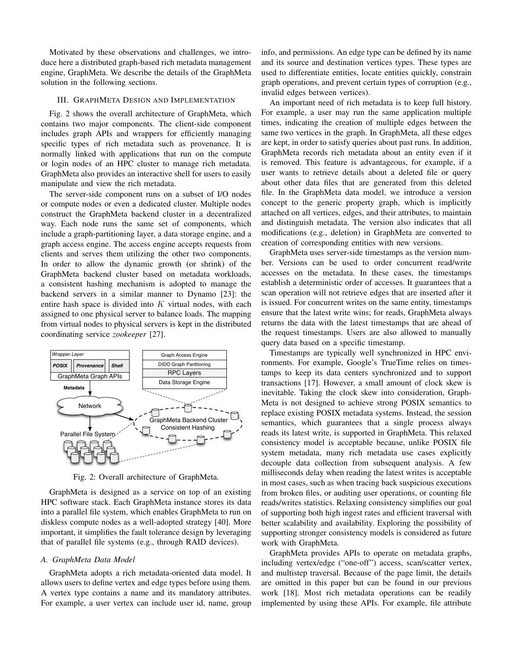Motivated by these observations and challenges, we introduce here a distributed graph-based rich metadata management engine, GraphMeta. We describe the details of the GraphMeta solution in the following sections.

#### III. GRAPHMETA DESIGN AND IMPLEMENTATION

Fig. 2 shows the overall architecture of GraphMeta, which contains two major components. The client-side component includes graph APIs and wrappers for efficiently managing specific types of rich metadata such as provenance. It is normally linked with applications that run on the compute or login nodes of an HPC cluster to manage rich metadata. GraphMeta also provides an interactive shell for users to easily manipulate and view the rich metadata.

The server-side component runs on a subset of I/O nodes or compute nodes or even a dedicated cluster. Multiple nodes construct the GraphMeta backend cluster in a decentralized way. Each node runs the same set of components, which include a graph-partitioning layer, a data storage engine, and a graph access engine. The access engine accepts requests from clients and serves them utilizing the other two components. In order to allow the dynamic growth (or shrink) of the GraphMeta backend cluster based on metadata workloads, a consistent hashing mechanism is adopted to manage the backend servers in a similar manner to Dynamo [23]: the entire hash space is divided into  $K$  virtual nodes, with each assigned to one physical server to balance loads. The mapping from virtual nodes to physical servers is kept in the distributed coordinating service *zookeeper* [27].



Fig. 2: Overall architecture of GraphMeta.

GraphMeta is designed as a service on top of an existing HPC software stack. Each GraphMeta instance stores its data into a parallel file system, which enables GraphMeta to run on diskless compute nodes as a well-adopted strategy [40]. More important, it simplifies the fault tolerance design by leveraging that of parallel file systems (e.g., through RAID devices).

#### *A. GraphMeta Data Model*

GraphMeta adopts a rich metadata-oriented data model. It allows users to define vertex and edge types before using them. A vertex type contains a name and its mandatory attributes. For example, a user vertex can include user id, name, group info, and permissions. An edge type can be defined by its name and its source and destination vertices types. These types are used to differentiate entities, locate entities quickly, constrain graph operations, and prevent certain types of corruption (e.g., invalid edges between vertices).

An important need of rich metadata is to keep full history. For example, a user may run the same application multiple times, indicating the creation of multiple edges between the same two vertices in the graph. In GraphMeta, all these edges are kept, in order to satisfy queries about past runs. In addition, GraphMeta records rich metadata about an entity even if it is removed. This feature is advantageous, for example, if a user wants to retrieve details about a deleted file or query about other data files that are generated from this deleted file. In the GraphMeta data model, we introduce a version concept to the generic property graph, which is implicitly attached on all vertices, edges, and their attributes, to maintain and distinguish metadata. The version also indicates that all modifications (e.g., deletion) in GraphMeta are converted to creation of corresponding entities with new versions.

GraphMeta uses server-side timestamps as the version number. Versions can be used to order concurrent read/write accesses on the metadata. In these cases, the timestamps establish a deterministic order of accesses. It guarantees that a scan operation will not retrieve edges that are inserted after it is issued. For concurrent writes on the same entity, timestamps ensure that the latest write wins; for reads, GraphMeta always returns the data with the latest timestamps that are ahead of the request timestamps. Users are also allowed to manually query data based on a specific timestamp.

Timestamps are typically well synchronized in HPC environments. For example, Google's TrueTime relies on timestamps to keep its data centers synchronized and to support transactions [17]. However, a small amount of clock skew is inevitable. Taking the clock skew into consideration, Graph-Meta is not designed to achieve strong POSIX semantics to replace existing POSIX metadata systems. Instead, the session semantics, which guarantees that a single process always reads its latest write, is supported in GraphMeta. This relaxed consistency model is acceptable because, unlike POSIX file system metadata, many rich metadata use cases explicitly decouple data collection from subsequent analysis. A few milliseconds delay when reading the latest writes is acceptable in most cases, such as when tracing back suspicious executions from broken files, or auditing user operations, or counting file reads/writes statistics. Relaxing consistency simplifies our goal of supporting both high ingest rates and efficient traversal with better scalability and availability. Exploring the possibility of supporting stronger consistency models is considered as future work with GraphMeta.

GraphMeta provides APIs to operate on metadata graphs, including vertex/edge ("one-off") access, scan/scatter vertex, and multistep traversal. Because of the page limit, the details are omitted in this paper but can be found in our previous work [18]. Most rich metadata operations can be readily implemented by using these APIs. For example, file attribute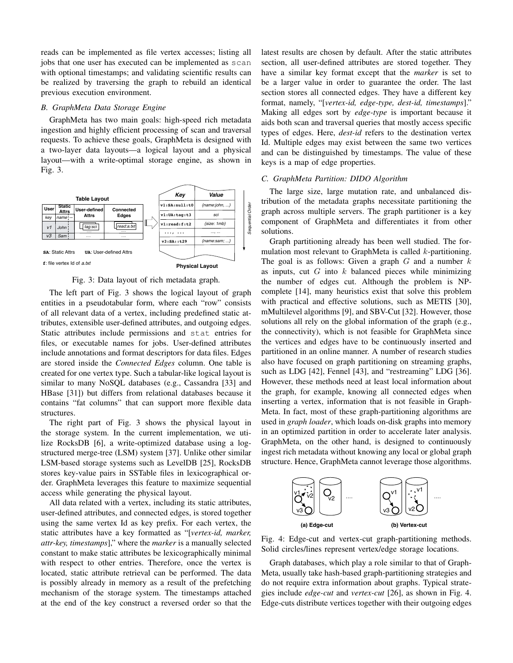reads can be implemented as file vertex accesses; listing all jobs that one user has executed can be implemented as scan with optional timestamps; and validating scientific results can be realized by traversing the graph to rebuild an identical previous execution environment.

#### *B. GraphMeta Data Storage Engine*

GraphMeta has two main goals: high-speed rich metadata ingestion and highly efficient processing of scan and traversal requests. To achieve these goals, GraphMeta is designed with a two-layer data layouts—a logical layout and a physical layout—with a write-optimal storage engine, as shown in Fig. 3.



Fig. 3: Data layout of rich metadata graph.

The left part of Fig. 3 shows the logical layout of graph entities in a pseudotabular form, where each "row" consists of all relevant data of a vertex, including predefined static attributes, extensible user-defined attributes, and outgoing edges. Static attributes include permissions and stat entries for files, or executable names for jobs. User-defined attributes include annotations and format descriptors for data files. Edges are stored inside the *Connected Edges* column. One table is created for one vertex type. Such a tabular-like logical layout is similar to many NoSQL databases (e.g., Cassandra [33] and HBase [31]) but differs from relational databases because it contains "fat columns" that can support more flexible data structures.

The right part of Fig. 3 shows the physical layout in the storage system. In the current implementation, we utilize RocksDB [6], a write-optimized database using a logstructured merge-tree (LSM) system [37]. Unlike other similar LSM-based storage systems such as LevelDB [25], RocksDB stores key-value pairs in SSTable files in lexicographical order. GraphMeta leverages this feature to maximize sequential access while generating the physical layout.

All data related with a vertex, including its static attributes, user-defined attributes, and connected edges, is stored together using the same vertex Id as key prefix. For each vertex, the static attributes have a key formatted as "[*vertex-id, marker, attr-key, timestamps*]," where the *marker* is a manually selected constant to make static attributes be lexicographically minimal with respect to other entries. Therefore, once the vertex is located, static attribute retrieval can be performed. The data is possibly already in memory as a result of the prefetching mechanism of the storage system. The timestamps attached at the end of the key construct a reversed order so that the latest results are chosen by default. After the static attributes section, all user-defined attributes are stored together. They have a similar key format except that the *marker* is set to be a larger value in order to guarantee the order. The last section stores all connected edges. They have a different key format, namely, "[*vertex-id, edge-type, dest-id, timestamps*]." Making all edges sort by *edge-type* is important because it aids both scan and traversal queries that mostly access specific types of edges. Here, *dest-id* refers to the destination vertex Id. Multiple edges may exist between the same two vertices and can be distinguished by timestamps. The value of these keys is a map of edge properties.

## *C. GraphMeta Partition: DIDO Algorithm*

The large size, large mutation rate, and unbalanced distribution of the metadata graphs necessitate partitioning the graph across multiple servers. The graph partitioner is a key component of GraphMeta and differentiates it from other solutions.

Graph partitioning already has been well studied. The formulation most relevant to GraphMeta is called  $k$ -partitioning. The goal is as follows: Given a graph  $G$  and a number  $k$ as inputs, cut  $G$  into  $k$  balanced pieces while minimizing the number of edges cut. Although the problem is NPcomplete [14], many heuristics exist that solve this problem with practical and effective solutions, such as METIS [30], mMultilevel algorithms [9], and SBV-Cut [32]. However, those solutions all rely on the global information of the graph (e.g., the connectivity), which is not feasible for GraphMeta since the vertices and edges have to be continuously inserted and partitioned in an online manner. A number of research studies also have focused on graph partitioning on streaming graphs, such as LDG [42], Fennel [43], and "restreaming" LDG [36]. However, these methods need at least local information about the graph, for example, knowing all connected edges when inserting a vertex, information that is not feasible in Graph-Meta. In fact, most of these graph-partitioning algorithms are used in *graph loader*, which loads on-disk graphs into memory in an optimized partition in order to accelerate later analysis. GraphMeta, on the other hand, is designed to continuously ingest rich metadata without knowing any local or global graph structure. Hence, GraphMeta cannot leverage those algorithms.



Fig. 4: Edge-cut and vertex-cut graph-partitioning methods. Solid circles/lines represent vertex/edge storage locations.

Graph databases, which play a role similar to that of Graph-Meta, usually take hash-based graph-partitioning strategies and do not require extra information about graphs. Typical strategies include *edge-cut* and *vertex-cut* [26], as shown in Fig. 4. Edge-cuts distribute vertices together with their outgoing edges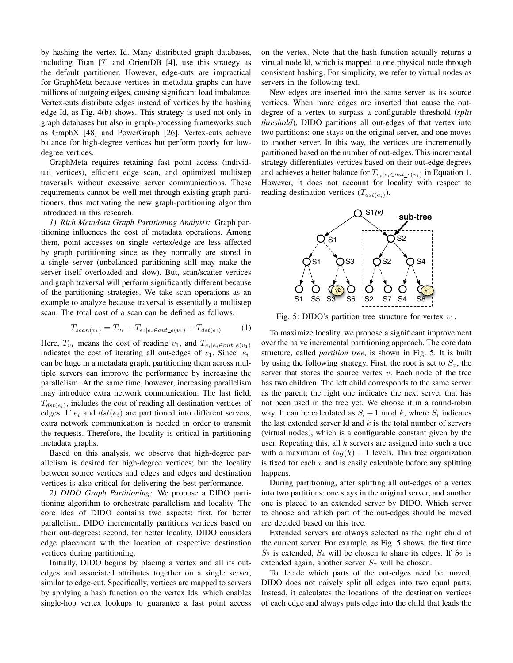by hashing the vertex Id. Many distributed graph databases, including Titan [7] and OrientDB [4], use this strategy as the default partitioner. However, edge-cuts are impractical for GraphMeta because vertices in metadata graphs can have millions of outgoing edges, causing significant load imbalance. Vertex-cuts distribute edges instead of vertices by the hashing edge Id, as Fig. 4(b) shows. This strategy is used not only in graph databases but also in graph-processing frameworks such as GraphX [48] and PowerGraph [26]. Vertex-cuts achieve balance for high-degree vertices but perform poorly for lowdegree vertices.

GraphMeta requires retaining fast point access (individual vertices), efficient edge scan, and optimized multistep traversals without excessive server communications. These requirements cannot be well met through existing graph partitioners, thus motivating the new graph-partitioning algorithm introduced in this research.

*1) Rich Metadata Graph Partitioning Analysis:* Graph partitioning influences the cost of metadata operations. Among them, point accesses on single vertex/edge are less affected by graph partitioning since as they normally are stored in a single server (unbalanced partitioning still may make the server itself overloaded and slow). But, scan/scatter vertices and graph traversal will perform significantly different because of the partitioning strategies. We take scan operations as an example to analyze because traversal is essentially a multistep scan. The total cost of a scan can be defined as follows.

$$
T_{scan(v_1)} = T_{v_1} + T_{e_i|e_i \in out\_e(v_1)} + T_{dst(e_i)}
$$
 (1)

Here,  $T_{v_1}$  means the cost of reading  $v_1$ , and  $T_{e_i|e_i \in out_e(v_1)}$ indicates the cost of iterating all out-edges of  $v_1$ . Since  $|e_i|$ can be huge in a metadata graph, partitioning them across multiple servers can improve the performance by increasing the parallelism. At the same time, however, increasing parallelism may introduce extra network communication. The last field,  $T_{dst(e_i)}$ , includes the cost of reading all destination vertices of edges. If  $e_i$  and  $dst(e_i)$  are partitioned into different servers, extra network communication is needed in order to transmit the requests. Therefore, the locality is critical in partitioning metadata graphs.

Based on this analysis, we observe that high-degree parallelism is desired for high-degree vertices; but the locality between source vertices and edges and edges and destination vertices is also critical for delivering the best performance.

*2) DIDO Graph Partitioning:* We propose a DIDO partitioning algorithm to orchestrate parallelism and locality. The core idea of DIDO contains two aspects: first, for better parallelism, DIDO incrementally partitions vertices based on their out-degrees; second, for better locality, DIDO considers edge placement with the location of respective destination vertices during partitioning.

Initially, DIDO begins by placing a vertex and all its outedges and associated attributes together on a single server, similar to edge-cut. Specifically, vertices are mapped to servers by applying a hash function on the vertex Ids, which enables single-hop vertex lookups to guarantee a fast point access

on the vertex. Note that the hash function actually returns a virtual node Id, which is mapped to one physical node through consistent hashing. For simplicity, we refer to virtual nodes as servers in the following text.

New edges are inserted into the same server as its source vertices. When more edges are inserted that cause the outdegree of a vertex to surpass a configurable threshold (*split threshold*), DIDO partitions all out-edges of that vertex into two partitions: one stays on the original server, and one moves to another server. In this way, the vertices are incrementally partitioned based on the number of out-edges. This incremental strategy differentiates vertices based on their out-edge degrees and achieves a better balance for  $T_{e_i|e_i \in out_e(v_1)}$  in Equation 1. However, it does not account for locality with respect to reading destination vertices  $(T_{dst(e_i)})$ .



Fig. 5: DIDO's partition tree structure for vertex  $v_1$ .

To maximize locality, we propose a significant improvement over the naive incremental partitioning approach. The core data structure, called *partition tree*, is shown in Fig. 5. It is built by using the following strategy. First, the root is set to  $S_v$ , the server that stores the source vertex  $v$ . Each node of the tree has two children. The left child corresponds to the same server as the parent; the right one indicates the next server that has not been used in the tree yet. We choose it in a round-robin way. It can be calculated as  $S_l + 1 \mod k$ , where  $S_l$  indicates the last extended server Id and  $k$  is the total number of servers (virtual nodes), which is a configurable constant given by the user. Repeating this, all  $k$  servers are assigned into such a tree with a maximum of  $log(k) + 1$  levels. This tree organization is fixed for each  $v$  and is easily calculable before any splitting happens.

During partitioning, after splitting all out-edges of a vertex into two partitions: one stays in the original server, and another one is placed to an extended server by DIDO. Which server to choose and which part of the out-edges should be moved are decided based on this tree.

Extended servers are always selected as the right child of the current server. For example, as Fig. 5 shows, the first time  $S_2$  is extended,  $S_4$  will be chosen to share its edges. If  $S_2$  is extended again, another server  $S_7$  will be chosen.

To decide which parts of the out-edges need be moved, DIDO does not naively split all edges into two equal parts. Instead, it calculates the locations of the destination vertices of each edge and always puts edge into the child that leads the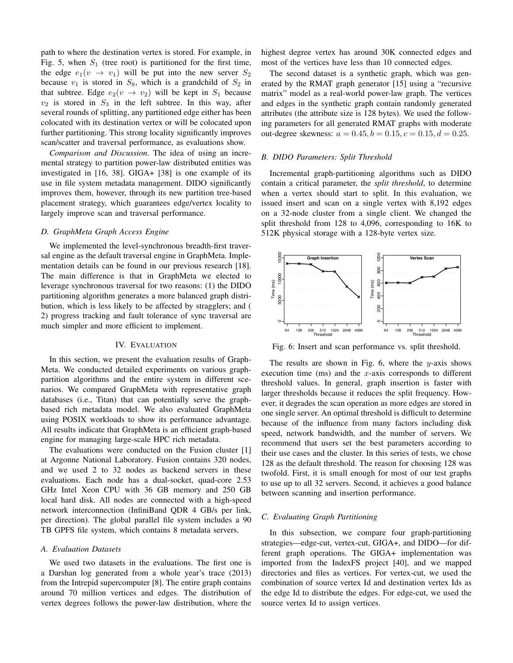path to where the destination vertex is stored. For example, in Fig. 5, when  $S_1$  (tree root) is partitioned for the first time, the edge  $e_1(v \rightarrow v_1)$  will be put into the new server  $S_2$ because  $v_1$  is stored in  $S_8$ , which is a grandchild of  $S_2$  in that subtree. Edge  $e_2(v \rightarrow v_2)$  will be kept in  $S_1$  because  $v_2$  is stored in  $S_3$  in the left subtree. In this way, after several rounds of splitting, any partitioned edge either has been colocated with its destination vertex or will be colocated upon further partitioning. This strong locality significantly improves scan/scatter and traversal performance, as evaluations show.

*Comparison and Discussion*. The idea of using an incremental strategy to partition power-law distributed entities was investigated in [16, 38]. GIGA+ [38] is one example of its use in file system metadata management. DIDO significantly improves them, however, through its new partition tree-based placement strategy, which guarantees edge/vertex locality to largely improve scan and traversal performance.

# *D. GraphMeta Graph Access Engine*

We implemented the level-synchronous breadth-first traversal engine as the default traversal engine in GraphMeta. Implementation details can be found in our previous research [18]. The main difference is that in GraphMeta we elected to leverage synchronous traversal for two reasons: (1) the DIDO partitioning algorithm generates a more balanced graph distribution, which is less likely to be affected by stragglers; and ( 2) progress tracking and fault tolerance of sync traversal are much simpler and more efficient to implement.

### IV. EVALUATION

In this section, we present the evaluation results of Graph-Meta. We conducted detailed experiments on various graphpartition algorithms and the entire system in different scenarios. We compared GraphMeta with representative graph databases (i.e., Titan) that can potentially serve the graphbased rich metadata model. We also evaluated GraphMeta using POSIX workloads to show its performance advantage. All results indicate that GraphMeta is an efficient graph-based engine for managing large-scale HPC rich metadata.

The evaluations were conducted on the Fusion cluster [1] at Argonne National Laboratory. Fusion contains 320 nodes, and we used 2 to 32 nodes as backend servers in these evaluations. Each node has a dual-socket, quad-core 2.53 GHz Intel Xeon CPU with 36 GB memory and 250 GB local hard disk. All nodes are connected with a high-speed network interconnection (InfiniBand QDR 4 GB/s per link, per direction). The global parallel file system includes a 90 TB GPFS file system, which contains 8 metadata servers.

### *A. Evaluation Datasets*

We used two datasets in the evaluations. The first one is a Darshan log generated from a whole year's trace (2013) from the Intrepid supercomputer [8]. The entire graph contains around 70 million vertices and edges. The distribution of vertex degrees follows the power-law distribution, where the highest degree vertex has around 30K connected edges and most of the vertices have less than 10 connected edges.

The second dataset is a synthetic graph, which was generated by the RMAT graph generator [15] using a "recursive matrix" model as a real-world power-law graph. The vertices and edges in the synthetic graph contain randomly generated attributes (the attribute size is 128 bytes). We used the following parameters for all generated RMAT graphs with moderate out-degree skewness:  $a = 0.45, b = 0.15, c = 0.15, d = 0.25$ .

## *B. DIDO Parameters: Split Threshold*

Incremental graph-partitioning algorithms such as DIDO contain a critical parameter, the *split threshold*, to determine when a vertex should start to split. In this evaluation, we issued insert and scan on a single vertex with 8,192 edges on a 32-node cluster from a single client. We changed the split threshold from 128 to 4,096, corresponding to 16K to 512K physical storage with a 128-byte vertex size.



Fig. 6: Insert and scan performance vs. split threshold.

The results are shown in Fig. 6, where the  $y$ -axis shows execution time (ms) and the  $x$ -axis corresponds to different threshold values. In general, graph insertion is faster with larger thresholds because it reduces the split frequency. However, it degrades the scan operation as more edges are stored in one single server. An optimal threshold is difficult to determine because of the influence from many factors including disk speed, network bandwidth, and the number of servers. We recommend that users set the best parameters according to their use cases and the cluster. In this series of tests, we chose 128 as the default threshold. The reason for choosing 128 was twofold. First, it is small enough for most of our test graphs to use up to all 32 servers. Second, it achieves a good balance between scanning and insertion performance.

# *C. Evaluating Graph Partitioning*

In this subsection, we compare four graph-partitioning strategies—edge-cut, vertex-cut, GIGA+, and DIDO—for different graph operations. The GIGA+ implementation was imported from the IndexFS project [40], and we mapped directories and files as vertices. For vertex-cut, we used the combination of source vertex Id and destination vertex Ids as the edge Id to distribute the edges. For edge-cut, we used the source vertex Id to assign vertices.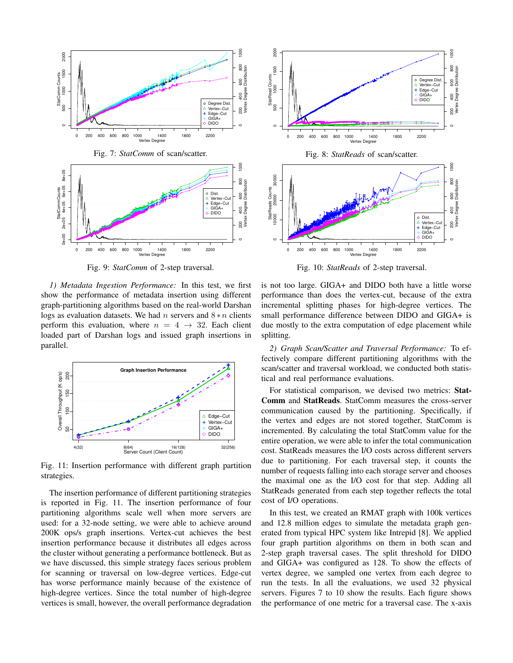

Fig. 9: *StatComm* of 2-step traversal.

*1) Metadata Ingestion Performance:* In this test, we first show the performance of metadata insertion using different graph-partitioning algorithms based on the real-world Darshan logs as evaluation datasets. We had n servers and  $8*n$  clients perform this evaluation, where  $n = 4 \rightarrow 32$ . Each client loaded part of Darshan logs and issued graph insertions in parallel.



Fig. 11: Insertion performance with different graph partition strategies.

The insertion performance of different partitioning strategies is reported in Fig. 11. The insertion performance of four partitioning algorithms scale well when more servers are used: for a 32-node setting, we were able to achieve around 200K ops/s graph insertions. Vertex-cut achieves the best insertion performance because it distributes all edges across the cluster without generating a performance bottleneck. But as we have discussed, this simple strategy faces serious problem for scanning or traversal on low-degree vertices. Edge-cut has worse performance mainly because of the existence of high-degree vertices. Since the total number of high-degree vertices is small, however, the overall performance degradation



Fig. 10: *StatReads* of 2-step traversal.

is not too large. GIGA+ and DIDO both have a little worse performance than does the vertex-cut, because of the extra incremental splitting phases for high-degree vertices. The small performance difference between DIDO and GIGA+ is due mostly to the extra computation of edge placement while splitting.

*2) Graph Scan/Scatter and Traversal Performance:* To effectively compare different partitioning algorithms with the scan/scatter and traversal workload, we conducted both statistical and real performance evaluations.

For statistical comparison, we devised two metrics: Stat-Comm and StatReads. StatComm measures the cross-server communication caused by the partitioning. Specifically, if the vertex and edges are not stored together, StatComm is incremented. By calculating the total StatComm value for the entire operation, we were able to infer the total communication cost. StatReads measures the I/O costs across different servers due to partitioning. For each traversal step, it counts the number of requests falling into each storage server and chooses the maximal one as the I/O cost for that step. Adding all StatReads generated from each step together reflects the total cost of I/O operations.

In this test, we created an RMAT graph with 100k vertices and 12.8 million edges to simulate the metadata graph generated from typical HPC system like Intrepid [8]. We applied four graph partition algorithms on them in both scan and 2-step graph traversal cases. The split threshold for DIDO and GIGA+ was configured as 128. To show the effects of vertex degree, we sampled one vertex from each degree to run the tests. In all the evaluations, we used 32 physical servers. Figures 7 to 10 show the results. Each figure shows the performance of one metric for a traversal case. The x-axis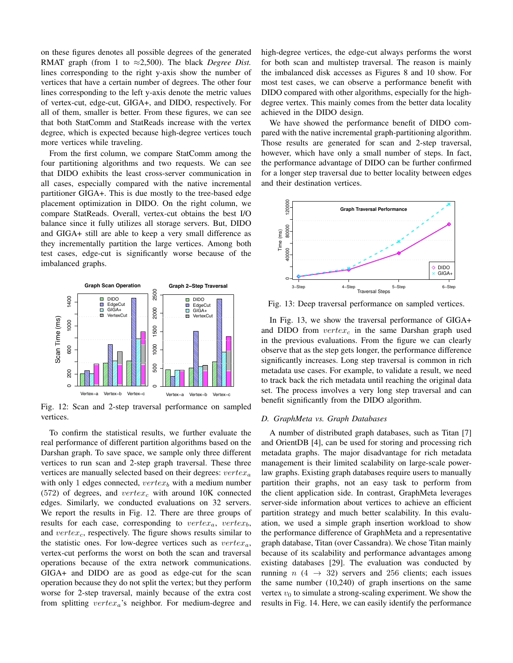on these figures denotes all possible degrees of the generated RMAT graph (from 1 to ≈2,500). The black *Degree Dist.* lines corresponding to the right y-axis show the number of vertices that have a certain number of degrees. The other four lines corresponding to the left y-axis denote the metric values of vertex-cut, edge-cut, GIGA+, and DIDO, respectively. For all of them, smaller is better. From these figures, we can see that both StatComm and StatReads increase with the vertex degree, which is expected because high-degree vertices touch more vertices while traveling.

From the first column, we compare StatComm among the four partitioning algorithms and two requests. We can see that DIDO exhibits the least cross-server communication in all cases, especially compared with the native incremental partitioner GIGA+. This is due mostly to the tree-based edge placement optimization in DIDO. On the right column, we compare StatReads. Overall, vertex-cut obtains the best I/O balance since it fully utilizes all storage servers. But, DIDO and GIGA+ still are able to keep a very small difference as they incrementally partition the large vertices. Among both test cases, edge-cut is significantly worse because of the imbalanced graphs.



Fig. 12: Scan and 2-step traversal performance on sampled vertices.

To confirm the statistical results, we further evaluate the real performance of different partition algorithms based on the Darshan graph. To save space, we sample only three different vertices to run scan and 2-step graph traversal. These three vertices are manually selected based on their degrees:  $vertex_a$ with only 1 edges connected,  $vertex_b$  with a medium number (572) of degrees, and  $vertex_c$  with around 10K connected edges. Similarly, we conducted evaluations on 32 servers. We report the results in Fig. 12. There are three groups of results for each case, corresponding to  $vertex_a$ ,  $vertex_b$ , and  $vertex_c$ , respectively. The figure shows results similar to the statistic ones. For low-degree vertices such as  $vertex_a$ , vertex-cut performs the worst on both the scan and traversal operations because of the extra network communications. GIGA+ and DIDO are as good as edge-cut for the scan operation because they do not split the vertex; but they perform worse for 2-step traversal, mainly because of the extra cost from splitting  $vertex_a$ 's neighbor. For medium-degree and high-degree vertices, the edge-cut always performs the worst for both scan and multistep traversal. The reason is mainly the imbalanced disk accesses as Figures 8 and 10 show. For most test cases, we can observe a performance benefit with DIDO compared with other algorithms, especially for the highdegree vertex. This mainly comes from the better data locality achieved in the DIDO design.

We have showed the performance benefit of DIDO compared with the native incremental graph-partitioning algorithm. Those results are generated for scan and 2-step traversal, however, which have only a small number of steps. In fact, the performance advantage of DIDO can be further confirmed for a longer step traversal due to better locality between edges and their destination vertices.



Fig. 13: Deep traversal performance on sampled vertices.

In Fig. 13, we show the traversal performance of GIGA+ and DIDO from  $vertex<sub>c</sub>$  in the same Darshan graph used in the previous evaluations. From the figure we can clearly observe that as the step gets longer, the performance difference significantly increases. Long step traversal is common in rich metadata use cases. For example, to validate a result, we need to track back the rich metadata until reaching the original data set. The process involves a very long step traversal and can benefit significantly from the DIDO algorithm.

# *D. GraphMeta vs. Graph Databases*

A number of distributed graph databases, such as Titan [7] and OrientDB [4], can be used for storing and processing rich metadata graphs. The major disadvantage for rich metadata management is their limited scalability on large-scale powerlaw graphs. Existing graph databases require users to manually partition their graphs, not an easy task to perform from the client application side. In contrast, GraphMeta leverages server-side information about vertices to achieve an efficient partition strategy and much better scalability. In this evaluation, we used a simple graph insertion workload to show the performance difference of GraphMeta and a representative graph database, Titan (over Cassandra). We chose Titan mainly because of its scalability and performance advantages among existing databases [29]. The evaluation was conducted by running  $n$  (4  $\rightarrow$  32) servers and 256 clients; each issues the same number (10,240) of graph insertions on the same vertex  $v_0$  to simulate a strong-scaling experiment. We show the results in Fig. 14. Here, we can easily identify the performance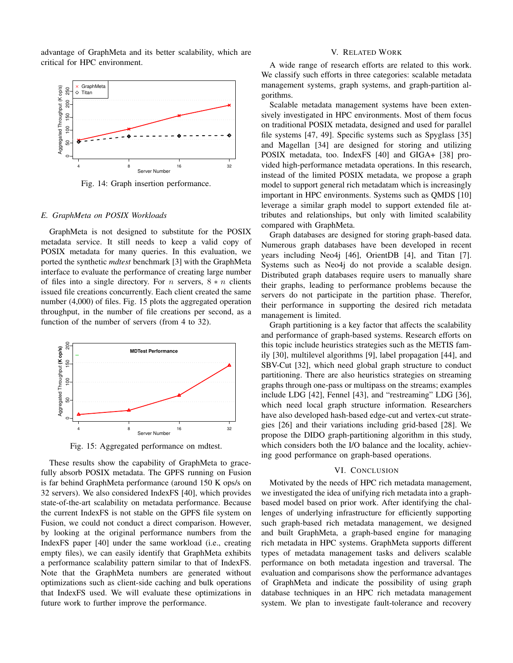advantage of GraphMeta and its better scalability, which are critical for HPC environment.



Fig. 14: Graph insertion performance.

#### *E. GraphMeta on POSIX Workloads*

GraphMeta is not designed to substitute for the POSIX metadata service. It still needs to keep a valid copy of POSIX metadata for many queries. In this evaluation, we ported the synthetic *mdtest* benchmark [3] with the GraphMeta interface to evaluate the performance of creating large number of files into a single directory. For n servers,  $8 * n$  clients issued file creations concurrently. Each client created the same number (4,000) of files. Fig. 15 plots the aggregated operation throughput, in the number of file creations per second, as a function of the number of servers (from 4 to 32).



Fig. 15: Aggregated performance on mdtest.

These results show the capability of GraphMeta to gracefully absorb POSIX metadata. The GPFS running on Fusion is far behind GraphMeta performance (around 150 K ops/s on 32 servers). We also considered IndexFS [40], which provides state-of-the-art scalability on metadata performance. Because the current IndexFS is not stable on the GPFS file system on Fusion, we could not conduct a direct comparison. However, by looking at the original performance numbers from the IndexFS paper [40] under the same workload (i.e., creating empty files), we can easily identify that GraphMeta exhibits a performance scalability pattern similar to that of IndexFS. Note that the GraphMeta numbers are generated without optimizations such as client-side caching and bulk operations that IndexFS used. We will evaluate these optimizations in future work to further improve the performance.

#### V. RELATED WORK

A wide range of research efforts are related to this work. We classify such efforts in three categories: scalable metadata management systems, graph systems, and graph-partition algorithms.

Scalable metadata management systems have been extensively investigated in HPC environments. Most of them focus on traditional POSIX metadata, designed and used for parallel file systems [47, 49]. Specific systems such as Spyglass [35] and Magellan [34] are designed for storing and utilizing POSIX metadata, too. IndexFS [40] and GIGA+ [38] provided high-performance metadata operations. In this research, instead of the limited POSIX metadata, we propose a graph model to support general rich metadatam which is increasingly important in HPC environments. Systems such as QMDS [10] leverage a similar graph model to support extended file attributes and relationships, but only with limited scalability compared with GraphMeta.

Graph databases are designed for storing graph-based data. Numerous graph databases have been developed in recent years including Neo4j [46], OrientDB [4], and Titan [7]. Systems such as Neo4j do not provide a scalable design. Distributed graph databases require users to manually share their graphs, leading to performance problems because the servers do not participate in the partition phase. Therefor, their performance in supporting the desired rich metadata management is limited.

Graph partitioning is a key factor that affects the scalability and performance of graph-based systems. Research efforts on this topic include heuristics strategies such as the METIS family [30], multilevel algorithms [9], label propagation [44], and SBV-Cut [32], which need global graph structure to conduct partitioning. There are also heuristics strategies on streaming graphs through one-pass or multipass on the streams; examples include LDG [42], Fennel [43], and "restreaming" LDG [36], which need local graph structure information. Researchers have also developed hash-based edge-cut and vertex-cut strategies [26] and their variations including grid-based [28]. We propose the DIDO graph-partitioning algorithm in this study, which considers both the I/O balance and the locality, achieving good performance on graph-based operations.

# VI. CONCLUSION

Motivated by the needs of HPC rich metadata management, we investigated the idea of unifying rich metadata into a graphbased model based on prior work. After identifying the challenges of underlying infrastructure for efficiently supporting such graph-based rich metadata management, we designed and built GraphMeta, a graph-based engine for managing rich metadata in HPC systems. GraphMeta supports different types of metadata management tasks and delivers scalable performance on both metadata ingestion and traversal. The evaluation and comparisons show the performance advantages of GraphMeta and indicate the possibility of using graph database techniques in an HPC rich metadata management system. We plan to investigate fault-tolerance and recovery